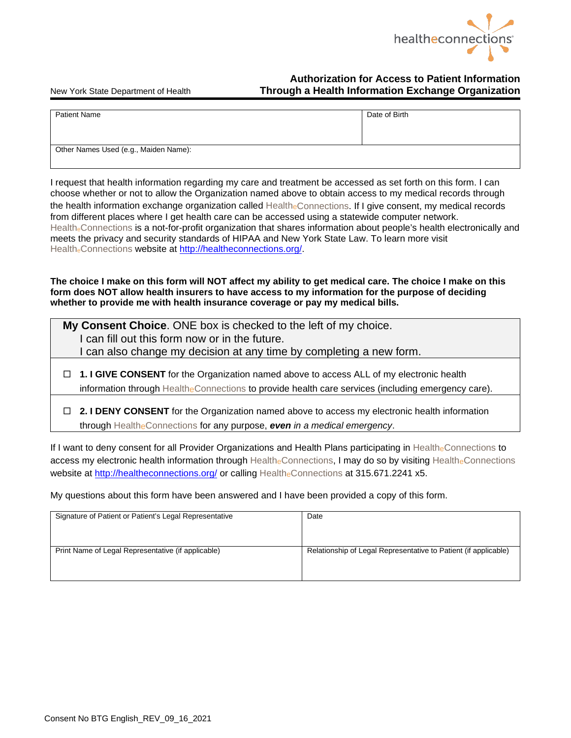

## **Authorization for Access to Patient Information**  New York State Department of Health **Through a Health Information Exchange Organization**

| <b>Patient Name</b>                   | Date of Birth |
|---------------------------------------|---------------|
| Other Names Used (e.g., Maiden Name): |               |

I request that health information regarding my care and treatment be accessed as set forth on this form. I can choose whether or not to allow the Organization named above to obtain access to my medical records through the health information exchange organization called HealtheConnections. If I give consent, my medical records from different places where I get health care can be accessed using a statewide computer network. Health<sub>e</sub>Connections is a not-for-profit organization that shares information about people's health electronically and meets the privacy and security standards of HIPAA and New York State Law. To learn more visit HealtheConnections website at [http://healtheconnections.org/.](http://healtheconnections.org/)

**The choice I make on this form will NOT affect my ability to get medical care. The choice I make on this form does NOT allow health insurers to have access to my information for the purpose of deciding whether to provide me with health insurance coverage or pay my medical bills.**

| My Consent Choice. ONE box is checked to the left of my choice.<br>I can fill out this form now or in the future.<br>I can also change my decision at any time by completing a new form.               |  |
|--------------------------------------------------------------------------------------------------------------------------------------------------------------------------------------------------------|--|
| $\Box$ 1. I GIVE CONSENT for the Organization named above to access ALL of my electronic health<br>information through Healthe Connections to provide health care services (including emergency care). |  |
| $\Box$ 2. I DENY CONSENT for the Organization named above to access my electronic health information<br>through Healthe Connections for any purpose, even in a medical emergency.                      |  |

If I want to deny consent for all Provider Organizations and Health Plans participating in HealtheConnections to access my electronic health information through HealtheConnections, I may do so by visiting HealtheConnections website at<http://healtheconnections.org/> or calling HealtheConnections at 315.671.2241 x5.

My questions about this form have been answered and I have been provided a copy of this form.

| Signature of Patient or Patient's Legal Representative | Date                                                            |
|--------------------------------------------------------|-----------------------------------------------------------------|
| Print Name of Legal Representative (if applicable)     | Relationship of Legal Representative to Patient (if applicable) |